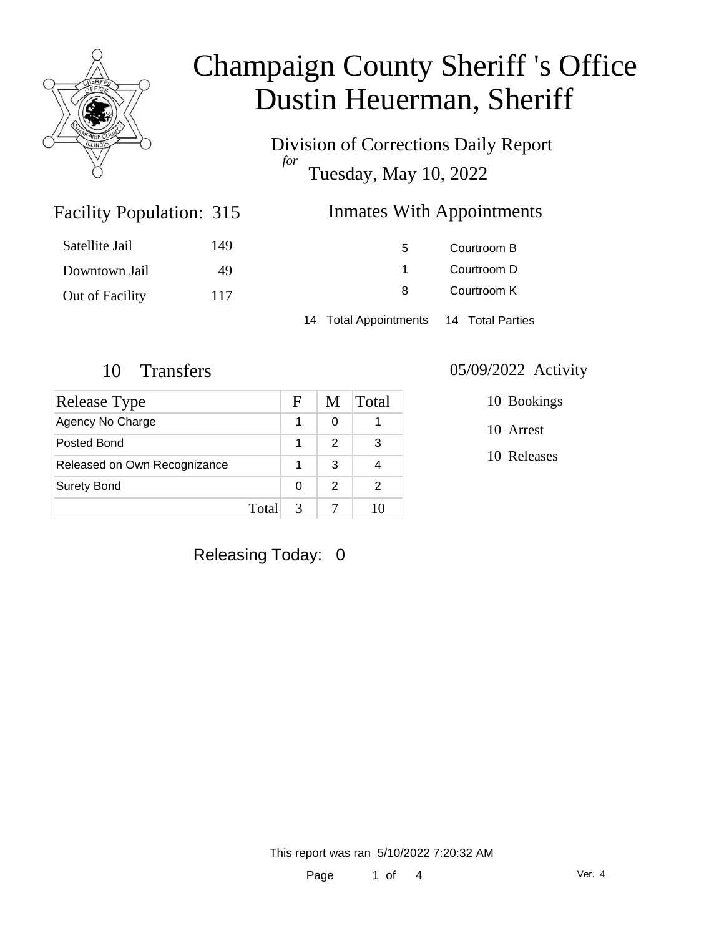

Division of Corrections Daily Report *for* Tuesday, May 10, 2022

### Inmates With Appointments

| Satellite Jail  | 149 | 5                     | Courtroom B      |  |
|-----------------|-----|-----------------------|------------------|--|
| Downtown Jail   | 49  |                       | Courtroom D      |  |
| Out of Facility | 117 | 8                     | Courtroom K      |  |
|                 |     | 14 Total Appointments | 14 Total Parties |  |

Facility Population: 315

| Release Type                 |       | F | M | Total |
|------------------------------|-------|---|---|-------|
| Agency No Charge             |       | 1 | 0 |       |
| Posted Bond                  |       | 1 | 2 | 3     |
| Released on Own Recognizance |       |   | 3 |       |
| <b>Surety Bond</b>           |       | 0 | 2 | 2     |
|                              | Total |   |   |       |

#### 10 Transfers 05/09/2022 Activity

10 Bookings

10 Arrest

10 Releases

Releasing Today: 0

This report was ran 5/10/2022 7:20:32 AM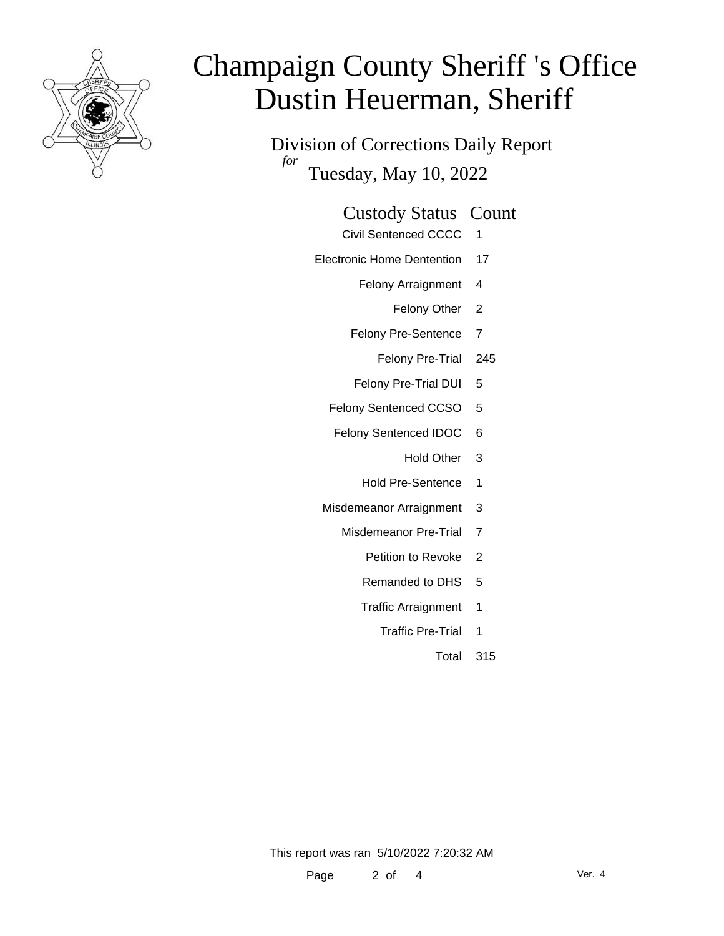

Division of Corrections Daily Report *for* Tuesday, May 10, 2022

### Custody Status Count

- Civil Sentenced CCCC 1
- Electronic Home Dentention 17
	- Felony Arraignment 4
		- Felony Other 2
	- Felony Pre-Sentence 7
		- Felony Pre-Trial 245
	- Felony Pre-Trial DUI 5
	- Felony Sentenced CCSO 5
	- Felony Sentenced IDOC 6
		- Hold Other 3
		- Hold Pre-Sentence 1
	- Misdemeanor Arraignment 3
		- Misdemeanor Pre-Trial 7
			- Petition to Revoke 2
			- Remanded to DHS 5
			- Traffic Arraignment 1
				- Traffic Pre-Trial 1
					- Total 315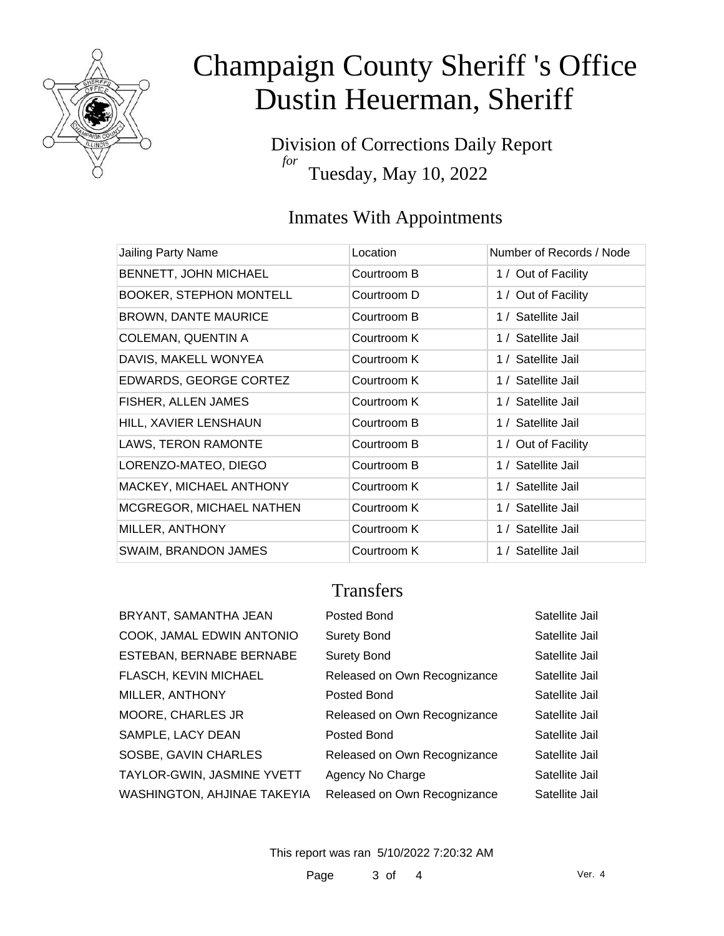

Division of Corrections Daily Report *for* Tuesday, May 10, 2022

### Inmates With Appointments

| Jailing Party Name              | Location    | Number of Records / Node |
|---------------------------------|-------------|--------------------------|
| BENNETT, JOHN MICHAEL           | Courtroom B | 1 / Out of Facility      |
| <b>BOOKER, STEPHON MONTELL</b>  | Courtroom D | 1 / Out of Facility      |
| <b>BROWN, DANTE MAURICE</b>     | Courtroom B | 1 / Satellite Jail       |
| <b>COLEMAN, QUENTIN A</b>       | Courtroom K | 1 / Satellite Jail       |
| DAVIS, MAKELL WONYEA            | Courtroom K | 1 / Satellite Jail       |
| EDWARDS, GEORGE CORTEZ          | Courtroom K | 1 / Satellite Jail       |
| FISHER, ALLEN JAMES             | Courtroom K | 1 / Satellite Jail       |
| HILL, XAVIER LENSHAUN           | Courtroom B | 1 / Satellite Jail       |
| LAWS, TERON RAMONTE             | Courtroom B | 1 / Out of Facility      |
| LORENZO-MATEO, DIEGO            | Courtroom B | 1 / Satellite Jail       |
| MACKEY, MICHAEL ANTHONY         | Courtroom K | 1 / Satellite Jail       |
| <b>MCGREGOR, MICHAEL NATHEN</b> | Courtroom K | 1 / Satellite Jail       |
| MILLER, ANTHONY                 | Courtroom K | 1 / Satellite Jail       |
| <b>SWAIM, BRANDON JAMES</b>     | Courtroom K | 1 / Satellite Jail       |

### **Transfers**

| BRYANT, SAMANTHA JEAN        |
|------------------------------|
| COOK, JAMAL EDWIN ANTONIO    |
| ESTEBAN, BERNABE BERNABE     |
| <b>FLASCH, KEVIN MICHAEL</b> |
| MILLER, ANTHONY              |
| <b>MOORE, CHARLES JR</b>     |
| SAMPLE, LACY DEAN            |
| SOSBE, GAVIN CHARLES         |
| TAYLOR-GWIN, JASMINE YVETT   |
| WASHINGTON, AHJINAE TAKEYIA  |

| BRYANT, SAMANTHA JEAN       | Posted Bond                  | Satellite Jail |
|-----------------------------|------------------------------|----------------|
| COOK, JAMAL EDWIN ANTONIO   | <b>Surety Bond</b>           | Satellite Jail |
| ESTEBAN, BERNABE BERNABE    | <b>Surety Bond</b>           | Satellite Jail |
| FLASCH, KEVIN MICHAEL       | Released on Own Recognizance | Satellite Jail |
| MILLER, ANTHONY             | Posted Bond                  | Satellite Jail |
| MOORE, CHARLES JR           | Released on Own Recognizance | Satellite Jail |
| SAMPLE, LACY DEAN           | Posted Bond                  | Satellite Jail |
| SOSBE, GAVIN CHARLES        | Released on Own Recognizance | Satellite Jail |
| TAYLOR-GWIN, JASMINE YVETT  | Agency No Charge             | Satellite Jail |
| WASHINGTON, AHJINAE TAKEYIA | Released on Own Recognizance | Satellite Jail |

This report was ran 5/10/2022 7:20:32 AM